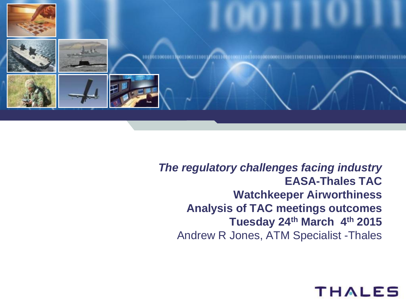

*The regulatory challenges facing industry*  **EASA-Thales TAC Watchkeeper Airworthiness Analysis of TAC meetings outcomes Tuesday 24th March 4th 2015** Andrew R Jones, ATM Specialist -Thales

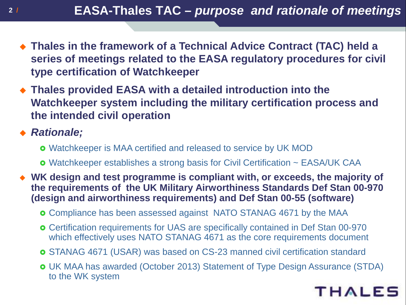- **Thales in the framework of a Technical Advice Contract (TAC) held a series of meetings related to the EASA regulatory procedures for civil type certification of Watchkeeper**
- **Thales provided EASA with a detailed introduction into the Watchkeeper system including the military certification process and the intended civil operation**

## *Rationale;*

- Watchkeeper is MAA certified and released to service by UK MOD
- Watchkeeper establishes a strong basis for Civil Certification ~ EASA/UK CAA
- **WK design and test programme is compliant with, or exceeds, the majority of the requirements of the UK Military Airworthiness Standards Def Stan 00-970 (design and airworthiness requirements) and Def Stan 00-55 (software)**
	- Compliance has been assessed against NATO STANAG 4671 by the MAA
	- Certification requirements for UAS are specifically contained in Def Stan 00-970 which effectively uses NATO STANAG 4671 as the core requirements document
	- STANAG 4671 (USAR) was based on CS-23 manned civil certification standard
	- UK MAA has awarded (October 2013) Statement of Type Design Assurance (STDA) to the WK system

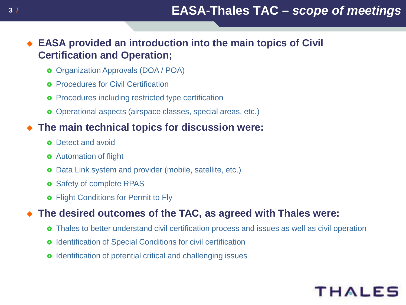#### **EASA provided an introduction into the main topics of Civil Certification and Operation;**

- Organization Approvals (DOA / POA)
- **o** Procedures for Civil Certification
- **o** Procedures including restricted type certification
- Operational aspects (airspace classes, special areas, etc.)

### **The main technical topics for discussion were:**

- **o** Detect and avoid
- **o** Automation of flight
- **o** Data Link system and provider (mobile, satellite, etc.)
- **o** Safety of complete RPAS
- **o** Flight Conditions for Permit to Fly

#### **The desired outcomes of the TAC, as agreed with Thales were:**

- Thales to better understand civil certification process and issues as well as civil operation
- **o** Identification of Special Conditions for civil certification
- **o** Identification of potential critical and challenging issues

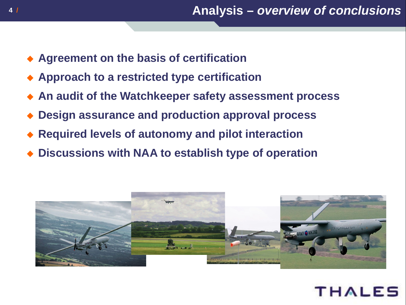- **Agreement on the basis of certification**
- **Approach to a restricted type certification**
- **An audit of the Watchkeeper safety assessment process**
- **Design assurance and production approval process**
- **Required levels of autonomy and pilot interaction**
- **Discussions with NAA to establish type of operation**



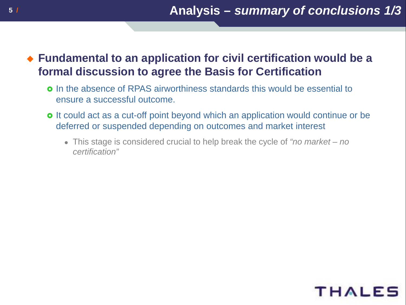## **Fundamental to an application for civil certification would be a formal discussion to agree the Basis for Certification**

- In the absence of RPAS airworthiness standards this would be essential to ensure a successful outcome.
- **o** It could act as a cut-off point beyond which an application would continue or be deferred or suspended depending on outcomes and market interest
	- This stage is considered crucial to help break the cycle of *"no market – no certification"*

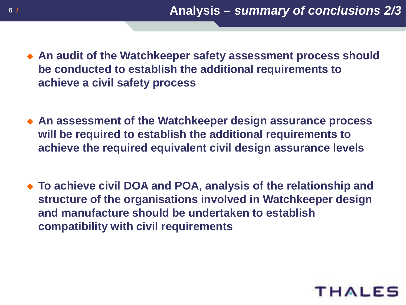- **An audit of the Watchkeeper safety assessment process should be conducted to establish the additional requirements to achieve a civil safety process**
- **An assessment of the Watchkeeper design assurance process will be required to establish the additional requirements to achieve the required equivalent civil design assurance levels**
- **To achieve civil DOA and POA, analysis of the relationship and structure of the organisations involved in Watchkeeper design and manufacture should be undertaken to establish compatibility with civil requirements**

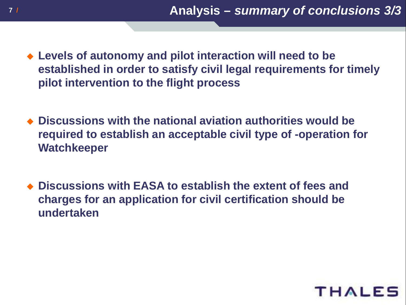- **Levels of autonomy and pilot interaction will need to be established in order to satisfy civil legal requirements for timely pilot intervention to the flight process**
- **Discussions with the national aviation authorities would be required to establish an acceptable civil type of -operation for Watchkeeper**
- **Discussions with EASA to establish the extent of fees and charges for an application for civil certification should be undertaken**

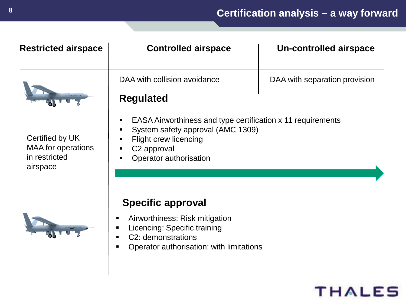| <b>Restricted airspace</b>                                                | <b>Controlled airspace</b>                                                                                                                                                                      | <b>Un-controlled airspace</b> |
|---------------------------------------------------------------------------|-------------------------------------------------------------------------------------------------------------------------------------------------------------------------------------------------|-------------------------------|
|                                                                           | DAA with collision avoidance<br><b>Regulated</b>                                                                                                                                                | DAA with separation provision |
| Certified by UK<br><b>MAA</b> for operations<br>in restricted<br>airspace | EASA Airworthiness and type certification x 11 requirements<br>п<br>System safety approval (AMC 1309)<br>п<br><b>Flight crew licencing</b><br>C <sub>2</sub> approval<br>Operator authorisation |                               |
|                                                                           | <b>Specific approval</b><br>Airworthiness: Risk mitigation<br>Licencing: Specific training<br>C2: demonstrations<br>Operator authorisation: with limitations                                    |                               |

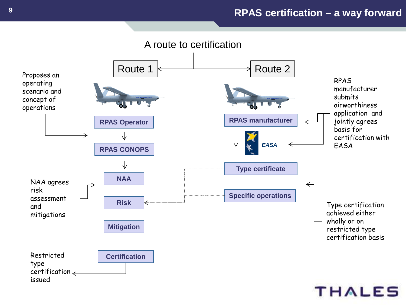#### **9 / RPAS certification – a way forward**